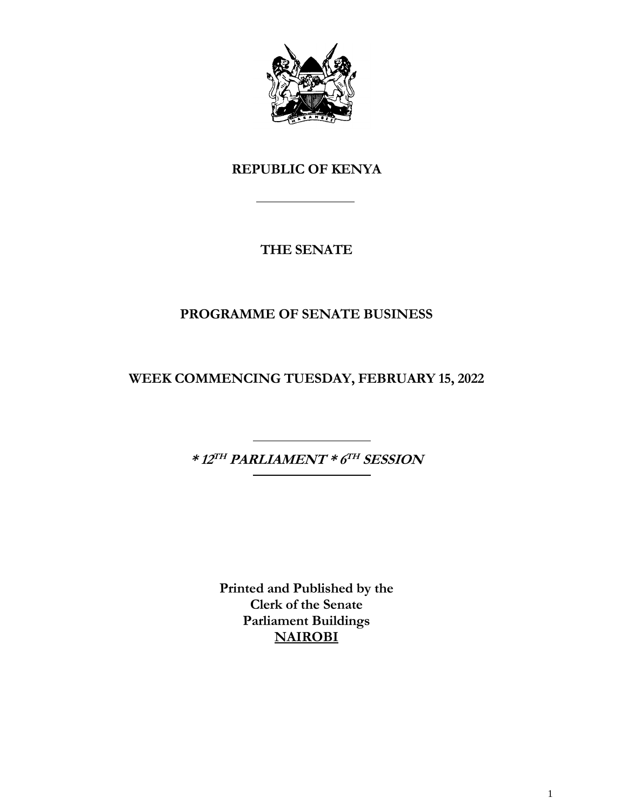

# **REPUBLIC OF KENYA**

# **THE SENATE**

# **PROGRAMME OF SENATE BUSINESS**

**WEEK COMMENCING TUESDAY, FEBRUARY 15, 2022**

**\* 12 TH PARLIAMENT \* 6 TH SESSION**

**Printed and Published by the Clerk of the Senate Parliament Buildings NAIROBI**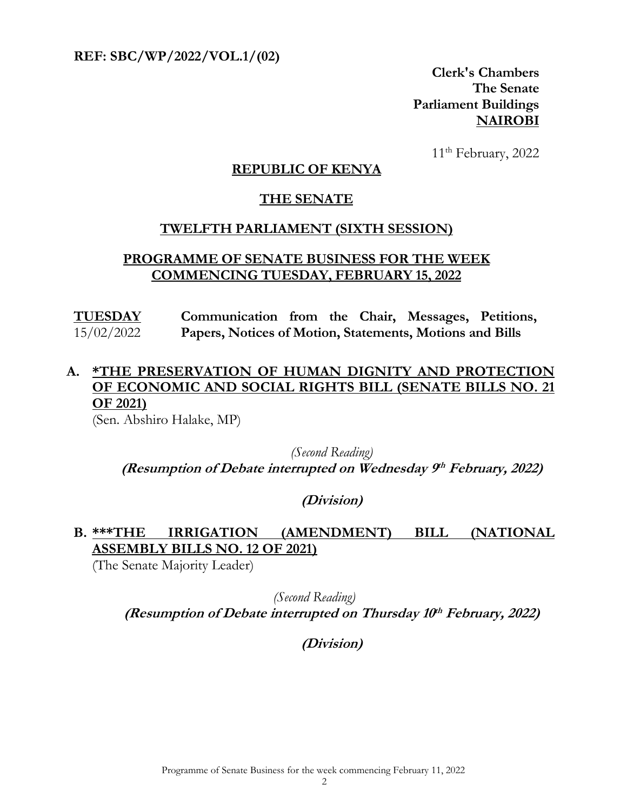**REF: SBC/WP/2022/VOL.1/(02)** 

**Clerk's Chambers The Senate Parliament Buildings NAIROBI**

11<sup>th</sup> February, 2022

#### **REPUBLIC OF KENYA**

#### **THE SENATE**

#### **TWELFTH PARLIAMENT (SIXTH SESSION)**

#### **PROGRAMME OF SENATE BUSINESS FOR THE WEEK COMMENCING TUESDAY, FEBRUARY 15, 2022**

**TUESDAY** 15/02/2022 **Communication from the Chair, Messages, Petitions, Papers, Notices of Motion, Statements, Motions and Bills**

## **A. \*THE PRESERVATION OF HUMAN DIGNITY AND PROTECTION OF ECONOMIC AND SOCIAL RIGHTS BILL (SENATE BILLS NO. 21 OF 2021)**

(Sen. Abshiro Halake, MP)

*(Second Reading)* **(Resumption of Debate interrupted on Wednesday 9 th February, 2022)**

#### **(Division)**

## **B. \*\*\*THE IRRIGATION (AMENDMENT) BILL (NATIONAL ASSEMBLY BILLS NO. 12 OF 2021)**

(The Senate Majority Leader)

*(Second Reading)* **(Resumption of Debate interrupted on Thursday 10 th February, 2022)**

**(Division)**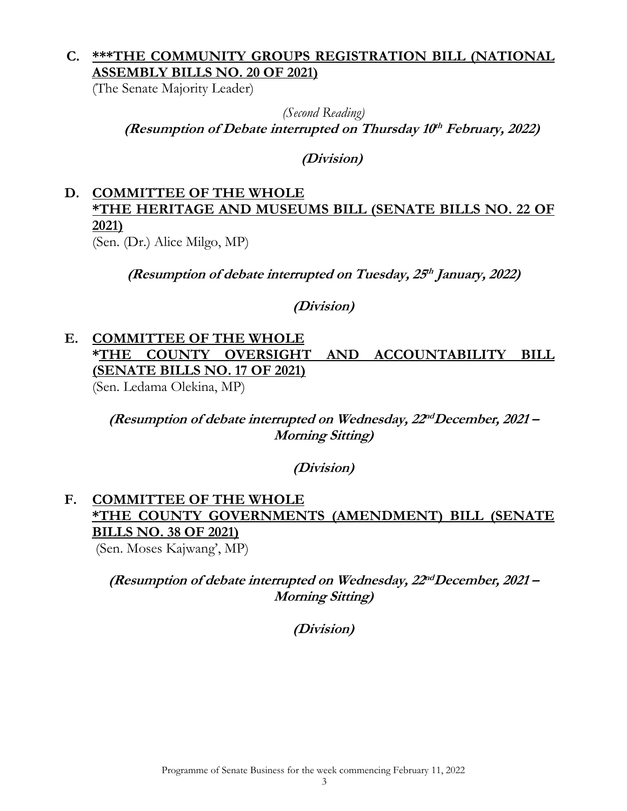## **C. \*\*\*THE COMMUNITY GROUPS REGISTRATION BILL (NATIONAL ASSEMBLY BILLS NO. 20 OF 2021)**

(The Senate Majority Leader)

*(Second Reading)* **(Resumption of Debate interrupted on Thursday 10 th February, 2022)**

**(Division)**

## **D. COMMITTEE OF THE WHOLE \*THE HERITAGE AND MUSEUMS BILL (SENATE BILLS NO. 22 OF 2021)**

(Sen. (Dr.) Alice Milgo, MP)

**(Resumption of debate interrupted on Tuesday, 25 th January, 2022)**

**(Division)**

## **E. COMMITTEE OF THE WHOLE \*THE COUNTY OVERSIGHT AND ACCOUNTABILITY BILL (SENATE BILLS NO. 17 OF 2021)** (Sen. Ledama Olekina, MP)

**(Resumption of debate interrupted on Wednesday, 22 ndDecember, 2021 – Morning Sitting)**

**(Division)**

# **F. COMMITTEE OF THE WHOLE \*THE COUNTY GOVERNMENTS (AMENDMENT) BILL (SENATE BILLS NO. 38 OF 2021)**

(Sen. Moses Kajwang', MP)

**(Resumption of debate interrupted on Wednesday, 22 ndDecember, 2021 – Morning Sitting)**

**(Division)**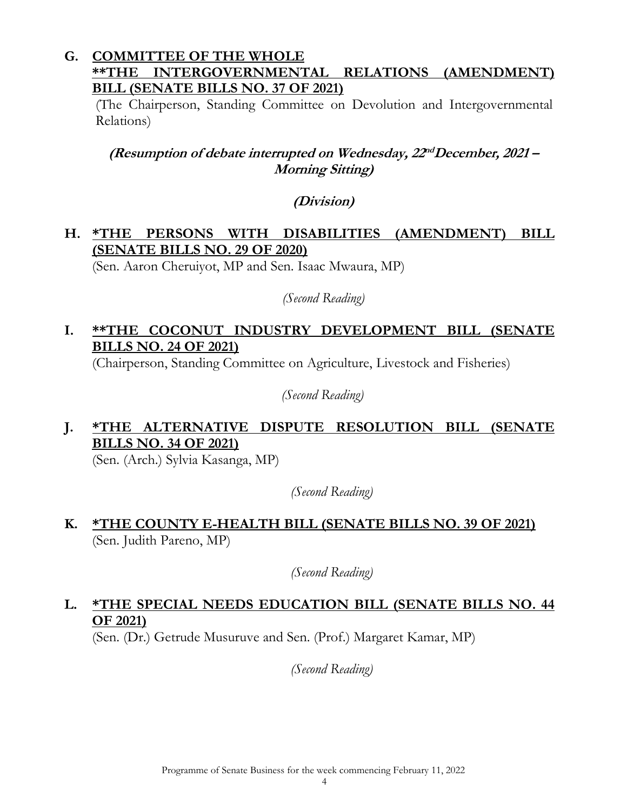#### **G. COMMITTEE OF THE WHOLE \*\*THE INTERGOVERNMENTAL RELATIONS (AMENDMENT) BILL (SENATE BILLS NO. 37 OF 2021)**

(The Chairperson, Standing Committee on Devolution and Intergovernmental Relations)

**(Resumption of debate interrupted on Wednesday, 22 ndDecember, 2021 – Morning Sitting)**

#### **(Division)**

## **H. \*THE PERSONS WITH DISABILITIES (AMENDMENT) BILL (SENATE BILLS NO. 29 OF 2020)**

(Sen. Aaron Cheruiyot, MP and Sen. Isaac Mwaura, MP)

*(Second Reading)*

## **I. \*\*THE COCONUT INDUSTRY DEVELOPMENT BILL (SENATE BILLS NO. 24 OF 2021)**

(Chairperson, Standing Committee on Agriculture, Livestock and Fisheries)

*(Second Reading)*

## **J. \*THE ALTERNATIVE DISPUTE RESOLUTION BILL (SENATE BILLS NO. 34 OF 2021)**

(Sen. (Arch.) Sylvia Kasanga, MP)

*(Second Reading)*

**K. \*THE COUNTY E-HEALTH BILL (SENATE BILLS NO. 39 OF 2021)**  (Sen. Judith Pareno, MP)

*(Second Reading)*

# **L. \*THE SPECIAL NEEDS EDUCATION BILL (SENATE BILLS NO. 44 OF 2021)**

(Sen. (Dr.) Getrude Musuruve and Sen. (Prof.) Margaret Kamar, MP)

*(Second Reading)*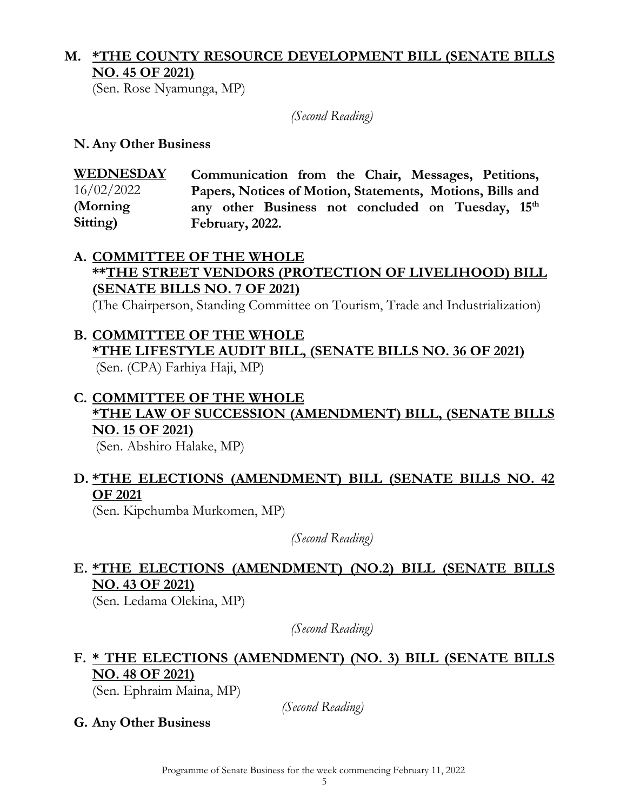# **M. \*THE COUNTY RESOURCE DEVELOPMENT BILL (SENATE BILLS NO. 45 OF 2021)**

(Sen. Rose Nyamunga, MP)

*(Second Reading)*

**N. Any Other Business**

**WEDNESDAY**  16/02/2022 **(Morning Sitting) Communication from the Chair, Messages, Petitions, Papers, Notices of Motion, Statements, Motions, Bills and any other Business not concluded on Tuesday, 15th February, 2022.**

#### **A. COMMITTEE OF THE WHOLE \*\*THE STREET VENDORS (PROTECTION OF LIVELIHOOD) BILL (SENATE BILLS NO. 7 OF 2021)**

(The Chairperson, Standing Committee on Tourism, Trade and Industrialization)

# **B. COMMITTEE OF THE WHOLE \*THE LIFESTYLE AUDIT BILL, (SENATE BILLS NO. 36 OF 2021)**

(Sen. (CPA) Farhiya Haji, MP)

# **C. COMMITTEE OF THE WHOLE \*THE LAW OF SUCCESSION (AMENDMENT) BILL, (SENATE BILLS NO. 15 OF 2021)**

(Sen. Abshiro Halake, MP)

## **D. \*THE ELECTIONS (AMENDMENT) BILL (SENATE BILLS NO. 42 OF 2021**

(Sen. Kipchumba Murkomen, MP)

*(Second Reading)*

## **E. \*THE ELECTIONS (AMENDMENT) (NO.2) BILL (SENATE BILLS NO. 43 OF 2021)**

(Sen. Ledama Olekina, MP)

*(Second Reading)*

# **F. \* THE ELECTIONS (AMENDMENT) (NO. 3) BILL (SENATE BILLS NO. 48 OF 2021)**

(Sen. Ephraim Maina, MP)

*(Second Reading)*

**G. Any Other Business**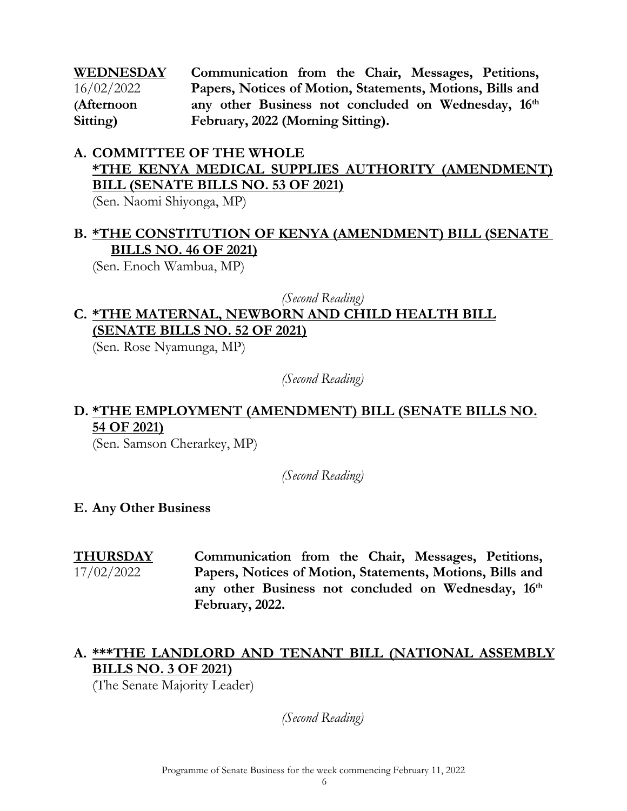**WEDNESDAY**  16/02/2022 **(Afternoon Sitting) Communication from the Chair, Messages, Petitions, Papers, Notices of Motion, Statements, Motions, Bills and any other Business not concluded on Wednesday, 16th February, 2022 (Morning Sitting).**

# **A. COMMITTEE OF THE WHOLE \*THE KENYA MEDICAL SUPPLIES AUTHORITY (AMENDMENT) BILL (SENATE BILLS NO. 53 OF 2021)**

(Sen. Naomi Shiyonga, MP)

## **B. \*THE CONSTITUTION OF KENYA (AMENDMENT) BILL (SENATE BILLS NO. 46 OF 2021)**

(Sen. Enoch Wambua, MP)

#### *(Second Reading)*

## **C. \*THE MATERNAL, NEWBORN AND CHILD HEALTH BILL (SENATE BILLS NO. 52 OF 2021)**

(Sen. Rose Nyamunga, MP)

*(Second Reading)*

# **D. \*THE EMPLOYMENT (AMENDMENT) BILL (SENATE BILLS NO. 54 OF 2021)**

(Sen. Samson Cherarkey, MP)

*(Second Reading)*

#### **E. Any Other Business**

**THURSDAY**  17/02/2022 **Communication from the Chair, Messages, Petitions, Papers, Notices of Motion, Statements, Motions, Bills and any other Business not concluded on Wednesday, 16th February, 2022.**

## **A. \*\*\*THE LANDLORD AND TENANT BILL (NATIONAL ASSEMBLY BILLS NO. 3 OF 2021)**

(The Senate Majority Leader)

*(Second Reading)*